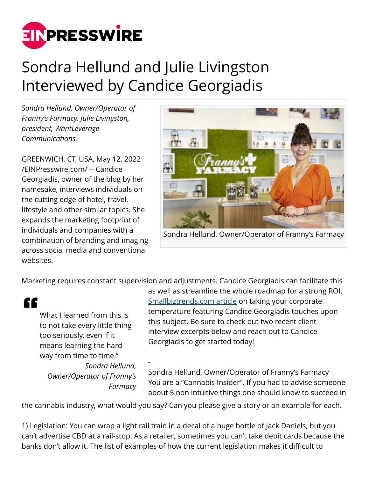

## Sondra Hellund and Julie Livingston Interviewed by Candice Georgiadis

*Sondra Hellund, Owner/Operator of Franny's Farmacy. Julie Livingston, president, WantLeverage Communications.*

GREENWICH, CT, USA, May 12, 2022 [/EINPresswire.com/](http://www.einpresswire.com) -- Candice Georgiadis, owner of the blog by her namesake, interviews individuals on the cutting edge of hotel, travel, lifestyle and other similar topics. She expands the marketing footprint of individuals and companies with a combination of branding and imaging across social media and conventional websites.



Sondra Hellund, Owner/Operator of Franny's Farmacy

Marketing requires constant supervision and adjustments. Candice Georgiadis can facilitate this

"

What I learned from this is to not take every little thing too seriously, even if it means learning the hard way from time to time." *Sondra Hellund, Owner/Operator of Franny's*

*Farmacy*

-

as well as streamline the whole roadmap for a strong ROI. [Smallbiztrends.com article](https://smallbiztrends.com/2022/05/companys-mid-year-check-in.html) on taking your corporate temperature featuring Candice Georgiadis touches upon this subject. Be sure to check out two recent client interview excerpts below and reach out to Candice Georgiadis to get started today!

Sondra Hellund, Owner/Operator of Franny's Farmacy You are a "Cannabis Insider". If you had to advise someone about 5 non intuitive things one should know to succeed in

the cannabis industry, what would you say? Can you please give a story or an example for each.

1) Legislation: You can wrap a light rail train in a decal of a huge bottle of Jack Daniels, but you can't advertise CBD at a rail-stop. As a retailer, sometimes you can't take debit cards because the banks don't allow it. The list of examples of how the current legislation makes it difficult to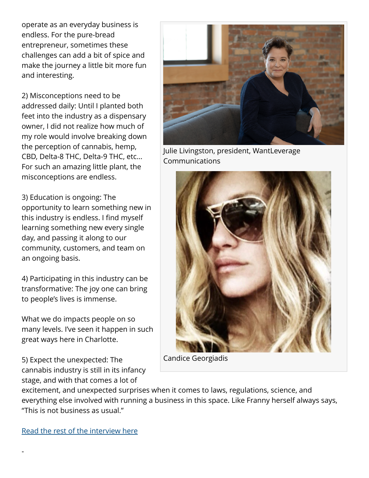operate as an everyday business is endless. For the pure-bread entrepreneur, sometimes these challenges can add a bit of spice and make the journey a little bit more fun and interesting.

2) Misconceptions need to be addressed daily: Until I planted both feet into the industry as a dispensary owner, I did not realize how much of my role would involve breaking down the perception of cannabis, hemp, CBD, Delta-8 THC, Delta-9 THC, etc… For such an amazing little plant, the misconceptions are endless.

3) Education is ongoing: The opportunity to learn something new in this industry is endless. I find myself learning something new every single day, and passing it along to our community, customers, and team on an ongoing basis.

4) Participating in this industry can be transformative: The joy one can bring to people's lives is immense.

What we do impacts people on so many levels. I've seen it happen in such great ways here in Charlotte.

5) Expect the unexpected: The cannabis industry is still in its infancy stage, and with that comes a lot of



Julie Livingston, president, WantLeverage Communications



Candice Georgiadis

excitement, and unexpected surprises when it comes to laws, regulations, science, and everything else involved with running a business in this space. Like Franny herself always says, "This is not business as usual."

[Read the rest of the interview here](https://www.candicegeorgiadis.com/wisdom-from-the-women-leading-the-cannabis-industry-with-sondra-hellund-of-frannys-farmacy/)

-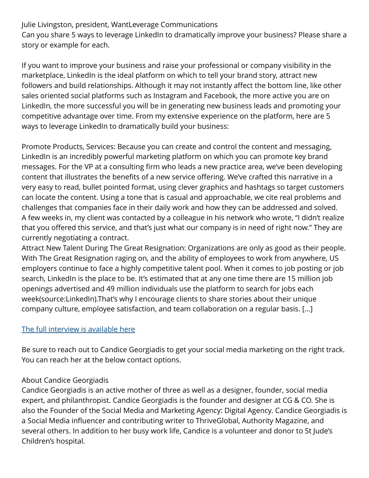Julie Livingston, president, WantLeverage Communications Can you share 5 ways to leverage LinkedIn to dramatically improve your business? Please share a story or example for each.

If you want to improve your business and raise your professional or company visibility in the marketplace, LinkedIn is the ideal platform on which to tell your brand story, attract new followers and build relationships. Although it may not instantly affect the bottom line, like other sales oriented social platforms such as Instagram and Facebook, the more active you are on LinkedIn, the more successful you will be in generating new business leads and promoting your competitive advantage over time. From my extensive experience on the platform, here are 5 ways to leverage LinkedIn to dramatically build your business:

Promote Products, Services: Because you can create and control the content and messaging, LinkedIn is an incredibly powerful marketing platform on which you can promote key brand messages. For the VP at a consulting firm who leads a new practice area, we've been developing content that illustrates the benefits of a new service offering. We've crafted this narrative in a very easy to read, bullet pointed format, using clever graphics and hashtags so target customers can locate the content. Using a tone that is casual and approachable, we cite real problems and challenges that companies face in their daily work and how they can be addressed and solved. A few weeks in, my client was contacted by a colleague in his network who wrote, "I didn't realize that you offered this service, and that's just what our company is in need of right now." They are currently negotiating a contract.

Attract New Talent During The Great Resignation: Organizations are only as good as their people. With The Great Resignation raging on, and the ability of employees to work from anywhere, US employers continue to face a highly competitive talent pool. When it comes to job posting or job search, LinkedIn is the place to be. It's estimated that at any one time there are 15 million job openings advertised and 49 million individuals use the platform to search for jobs each week(source:LinkedIn).That's why I encourage clients to share stories about their unique company culture, employee satisfaction, and team collaboration on a regular basis. [...]

## [The full interview is available here](https://www.candicegeorgiadis.com/julie-livingston-of-wantleverage-communications-on-how-to-use-linkedin-to-dramatically-improve-your/)

Be sure to reach out to Candice Georgiadis to get your social media marketing on the right track. You can reach her at the below contact options.

## About Candice Georgiadis

Candice Georgiadis is an active mother of three as well as a designer, founder, social media expert, and philanthropist. Candice Georgiadis is the founder and designer at CG & CO. She is also the Founder of the Social Media and Marketing Agency: Digital Agency. Candice Georgiadis is a Social Media influencer and contributing writer to ThriveGlobal, Authority Magazine, and several others. In addition to her busy work life, Candice is a volunteer and donor to St Jude's Children's hospital.